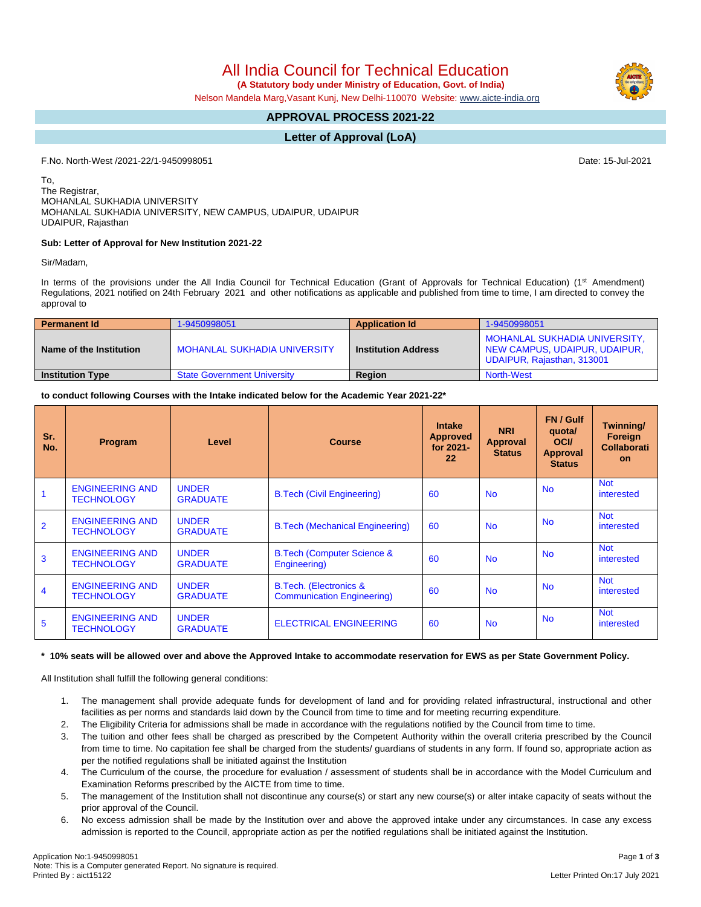All India Council for Technical Education

 **(A Statutory body under Ministry of Education, Govt. of India)**

Nelson Mandela Marg,Vasant Kunj, New Delhi-110070 Website: [www.aicte-india.org](http://www.aicte-india.org)

# **APPROVAL PROCESS 2021-22**

### **Letter of Approval (LoA)**

F.No. North-West /2021-22/1-9450998051 Date: 15-Jul-2021

To, The Registrar, MOHANLAL SUKHADIA UNIVERSITY MOHANLAL SUKHADIA UNIVERSITY, NEW CAMPUS, UDAIPUR, UDAIPUR UDAIPUR, Rajasthan

### **Sub: Letter of Approval for New Institution 2021-22**

Sir/Madam,

In terms of the provisions under the All India Council for Technical Education (Grant of Approvals for Technical Education) (1<sup>st</sup> Amendment) Regulations, 2021 notified on 24th February 2021 and other notifications as applicable and published from time to time, I am directed to convey the approval to

| <b>Permanent Id</b>     | 1-9450998051                       | <b>Application Id</b>      | 1-9450998051                                                                                 |  |  |
|-------------------------|------------------------------------|----------------------------|----------------------------------------------------------------------------------------------|--|--|
| Name of the Institution | MOHANLAL SUKHADIA UNIVERSITY       | <b>Institution Address</b> | MOHANLAL SUKHADIA UNIVERSITY.<br>NEW CAMPUS, UDAIPUR, UDAIPUR,<br>UDAIPUR, Rajasthan, 313001 |  |  |
| <b>Institution Type</b> | <b>State Government University</b> | <b>Region</b>              | <b>North-West</b>                                                                            |  |  |

**to conduct following Courses with the Intake indicated below for the Academic Year 2021-22\***

| Sr.<br>No.     | Program                                     | Level                           | <b>Course</b>                                                      | <b>Intake</b><br><b>Approved</b><br>for 2021-<br>22 | <b>NRI</b><br>Approval<br><b>Status</b> | <b>FN/Gulf</b><br>quota/<br><b>OCI</b><br><b>Approval</b><br><b>Status</b> | Twinning/<br>Foreign<br>Collaborati<br>on. |
|----------------|---------------------------------------------|---------------------------------|--------------------------------------------------------------------|-----------------------------------------------------|-----------------------------------------|----------------------------------------------------------------------------|--------------------------------------------|
|                | <b>ENGINEERING AND</b><br><b>TECHNOLOGY</b> | <b>UNDER</b><br><b>GRADUATE</b> | <b>B.Tech (Civil Engineering)</b>                                  | 60                                                  | <b>No</b>                               | <b>No</b>                                                                  | <b>Not</b><br>interested                   |
| $\overline{2}$ | <b>ENGINEERING AND</b><br><b>TECHNOLOGY</b> | <b>UNDER</b><br><b>GRADUATE</b> | <b>B.Tech (Mechanical Engineering)</b>                             | 60                                                  | <b>No</b>                               | <b>No</b>                                                                  | <b>Not</b><br>interested                   |
| 3              | <b>ENGINEERING AND</b><br><b>TECHNOLOGY</b> | <b>UNDER</b><br><b>GRADUATE</b> | <b>B.Tech (Computer Science &amp;</b><br>Engineering)              | 60                                                  | <b>No</b>                               | <b>No</b>                                                                  | <b>Not</b><br>interested                   |
| 4              | <b>ENGINEERING AND</b><br><b>TECHNOLOGY</b> | <b>UNDER</b><br><b>GRADUATE</b> | <b>B.Tech.</b> (Electronics &<br><b>Communication Engineering)</b> | 60                                                  | <b>No</b>                               | <b>No</b>                                                                  | <b>Not</b><br>interested                   |
| 5              | <b>ENGINEERING AND</b><br><b>TECHNOLOGY</b> | <b>UNDER</b><br><b>GRADUATE</b> | <b>ELECTRICAL ENGINEERING</b>                                      | 60                                                  | <b>No</b>                               | <b>No</b>                                                                  | <b>Not</b><br>interested                   |

#### **\* 10% seats will be allowed over and above the Approved Intake to accommodate reservation for EWS as per State Government Policy.**

All Institution shall fulfill the following general conditions:

- 1. The management shall provide adequate funds for development of land and for providing related infrastructural, instructional and other facilities as per norms and standards laid down by the Council from time to time and for meeting recurring expenditure.
- 2. The Eligibility Criteria for admissions shall be made in accordance with the regulations notified by the Council from time to time.
- 3. The tuition and other fees shall be charged as prescribed by the Competent Authority within the overall criteria prescribed by the Council from time to time. No capitation fee shall be charged from the students/ guardians of students in any form. If found so, appropriate action as per the notified regulations shall be initiated against the Institution
- 4. The Curriculum of the course, the procedure for evaluation / assessment of students shall be in accordance with the Model Curriculum and Examination Reforms prescribed by the AICTE from time to time.
- 5. The management of the Institution shall not discontinue any course(s) or start any new course(s) or alter intake capacity of seats without the prior approval of the Council.
- 6. No excess admission shall be made by the Institution over and above the approved intake under any circumstances. In case any excess admission is reported to the Council, appropriate action as per the notified regulations shall be initiated against the Institution.

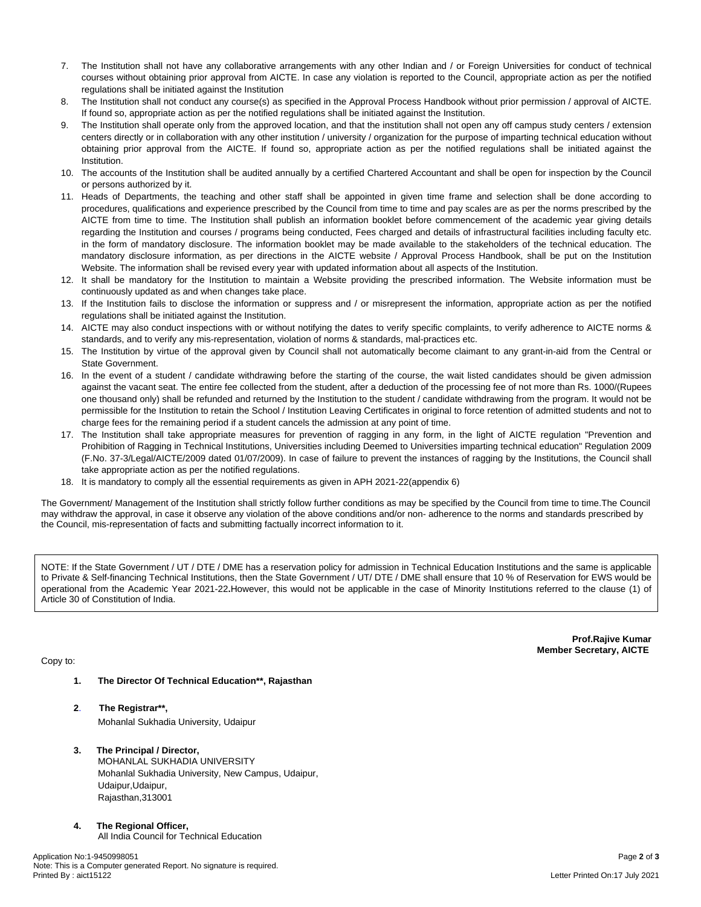- 7. The Institution shall not have any collaborative arrangements with any other Indian and / or Foreign Universities for conduct of technical courses without obtaining prior approval from AICTE. In case any violation is reported to the Council, appropriate action as per the notified regulations shall be initiated against the Institution
- 8. The Institution shall not conduct any course(s) as specified in the Approval Process Handbook without prior permission / approval of AICTE. If found so, appropriate action as per the notified regulations shall be initiated against the Institution.
- 9. The Institution shall operate only from the approved location, and that the institution shall not open any off campus study centers / extension centers directly or in collaboration with any other institution / university / organization for the purpose of imparting technical education without obtaining prior approval from the AICTE. If found so, appropriate action as per the notified regulations shall be initiated against the Institution.
- 10. The accounts of the Institution shall be audited annually by a certified Chartered Accountant and shall be open for inspection by the Council or persons authorized by it.
- 11. Heads of Departments, the teaching and other staff shall be appointed in given time frame and selection shall be done according to procedures, qualifications and experience prescribed by the Council from time to time and pay scales are as per the norms prescribed by the AICTE from time to time. The Institution shall publish an information booklet before commencement of the academic year giving details regarding the Institution and courses / programs being conducted, Fees charged and details of infrastructural facilities including faculty etc. in the form of mandatory disclosure. The information booklet may be made available to the stakeholders of the technical education. The mandatory disclosure information, as per directions in the AICTE website / Approval Process Handbook, shall be put on the Institution Website. The information shall be revised every year with updated information about all aspects of the Institution.
- 12. It shall be mandatory for the Institution to maintain a Website providing the prescribed information. The Website information must be continuously updated as and when changes take place.
- 13. If the Institution fails to disclose the information or suppress and / or misrepresent the information, appropriate action as per the notified regulations shall be initiated against the Institution.
- 14. AICTE may also conduct inspections with or without notifying the dates to verify specific complaints, to verify adherence to AICTE norms & standards, and to verify any mis-representation, violation of norms & standards, mal-practices etc.
- 15. The Institution by virtue of the approval given by Council shall not automatically become claimant to any grant-in-aid from the Central or State Government.
- 16. In the event of a student / candidate withdrawing before the starting of the course, the wait listed candidates should be given admission against the vacant seat. The entire fee collected from the student, after a deduction of the processing fee of not more than Rs. 1000/(Rupees one thousand only) shall be refunded and returned by the Institution to the student / candidate withdrawing from the program. It would not be permissible for the Institution to retain the School / Institution Leaving Certificates in original to force retention of admitted students and not to charge fees for the remaining period if a student cancels the admission at any point of time.
- 17. The Institution shall take appropriate measures for prevention of ragging in any form, in the light of AICTE regulation "Prevention and Prohibition of Ragging in Technical Institutions, Universities including Deemed to Universities imparting technical education" Regulation 2009 (F.No. 37-3/Legal/AICTE/2009 dated 01/07/2009). In case of failure to prevent the instances of ragging by the Institutions, the Council shall take appropriate action as per the notified regulations.
- 18. It is mandatory to comply all the essential requirements as given in APH 2021-22(appendix 6)

The Government/ Management of the Institution shall strictly follow further conditions as may be specified by the Council from time to time.The Council may withdraw the approval, in case it observe any violation of the above conditions and/or non- adherence to the norms and standards prescribed by the Council, mis-representation of facts and submitting factually incorrect information to it.

NOTE: If the State Government / UT / DTE / DME has a reservation policy for admission in Technical Education Institutions and the same is applicable to Private & Self-financing Technical Institutions, then the State Government / UT/ DTE / DME shall ensure that 10 % of Reservation for EWS would be operational from the Academic Year 2021-22**.**However, this would not be applicable in the case of Minority Institutions referred to the clause (1) of Article 30 of Constitution of India.

## Copy to:

**Prof.Rajive Kumar Member Secretary, AICTE**

- **1. The Director Of Technical Education\*\*, Rajasthan**
- **2**. **The Registrar\*\*,** Mohanlal Sukhadia University, Udaipur
- **3. The Principal / Director,** MOHANLAL SUKHADIA UNIVERSITY
	- Mohanlal Sukhadia University, New Campus, Udaipur, Udaipur,Udaipur, Rajasthan,313001
- **4. The Regional Officer,**
	- All India Council for Technical Education